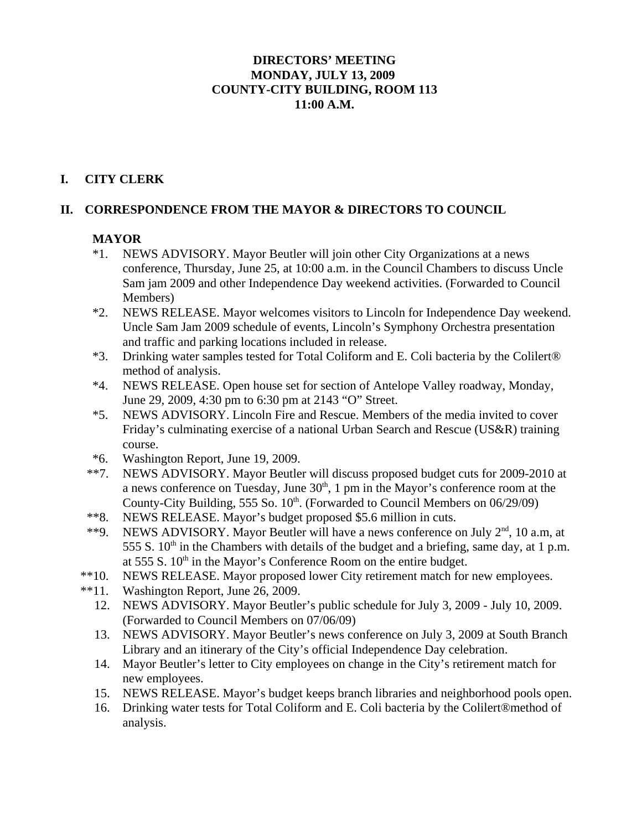### **DIRECTORS' MEETING MONDAY, JULY 13, 2009 COUNTY-CITY BUILDING, ROOM 113 11:00 A.M.**

### **I. CITY CLERK**

### **II. CORRESPONDENCE FROM THE MAYOR & DIRECTORS TO COUNCIL**

### **MAYOR**

- \*1. NEWS ADVISORY. Mayor Beutler will join other City Organizations at a news conference, Thursday, June 25, at 10:00 a.m. in the Council Chambers to discuss Uncle Sam jam 2009 and other Independence Day weekend activities. (Forwarded to Council Members)
- \*2. NEWS RELEASE. Mayor welcomes visitors to Lincoln for Independence Day weekend. Uncle Sam Jam 2009 schedule of events, Lincoln's Symphony Orchestra presentation and traffic and parking locations included in release.
- \*3. Drinking water samples tested for Total Coliform and E. Coli bacteria by the Colilert® method of analysis.
- \*4. NEWS RELEASE. Open house set for section of Antelope Valley roadway, Monday, June 29, 2009, 4:30 pm to 6:30 pm at 2143 "O" Street.
- \*5. NEWS ADVISORY. Lincoln Fire and Rescue. Members of the media invited to cover Friday's culminating exercise of a national Urban Search and Rescue (US&R) training course.
- \*6. Washington Report, June 19, 2009.
- \*\*7. NEWS ADVISORY. Mayor Beutler will discuss proposed budget cuts for 2009-2010 at a news conference on Tuesday, June  $30<sup>th</sup>$ , 1 pm in the Mayor's conference room at the County-City Building, 555 So.  $10^{th}$ . (Forwarded to Council Members on  $06/29/09$ )
- \*\*8. NEWS RELEASE. Mayor's budget proposed \$5.6 million in cuts.
- \*\*9. NEWS ADVISORY. Mayor Beutler will have a news conference on July  $2<sup>nd</sup>$ , 10 a.m, at 555 S.  $10<sup>th</sup>$  in the Chambers with details of the budget and a briefing, same day, at 1 p.m. at 555 S.  $10<sup>th</sup>$  in the Mayor's Conference Room on the entire budget.
- \*\*10. NEWS RELEASE. Mayor proposed lower City retirement match for new employees.
- \*\*11. Washington Report, June 26, 2009.
	- 12. NEWS ADVISORY. Mayor Beutler's public schedule for July 3, 2009 July 10, 2009. (Forwarded to Council Members on 07/06/09)
	- 13. NEWS ADVISORY. Mayor Beutler's news conference on July 3, 2009 at South Branch Library and an itinerary of the City's official Independence Day celebration.
	- 14. Mayor Beutler's letter to City employees on change in the City's retirement match for new employees.
	- 15. NEWS RELEASE. Mayor's budget keeps branch libraries and neighborhood pools open.
	- 16. Drinking water tests for Total Coliform and E. Coli bacteria by the Colilert®method of analysis.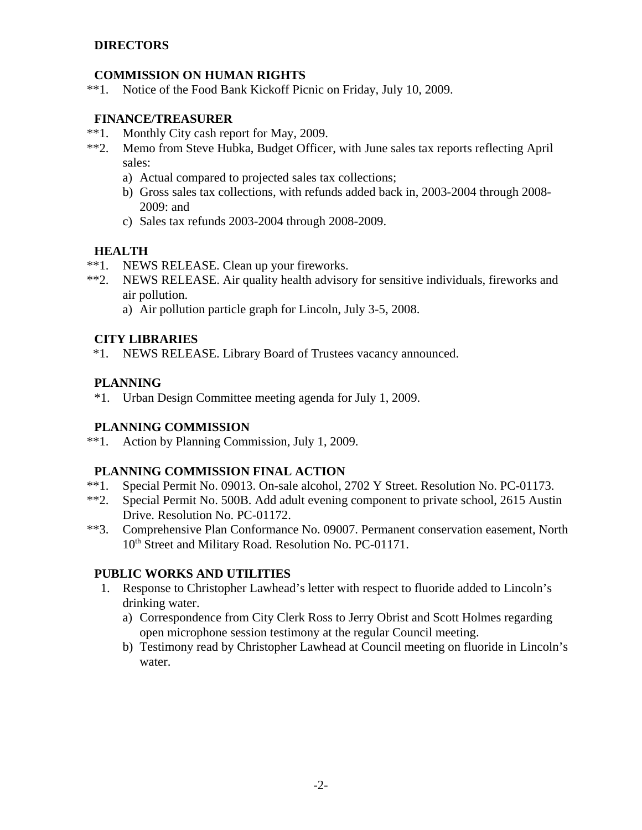### **DIRECTORS**

### **COMMISSION ON HUMAN RIGHTS**

\*\*1. Notice of the Food Bank Kickoff Picnic on Friday, July 10, 2009.

### **FINANCE/TREASURER**

- \*\*1. Monthly City cash report for May, 2009.
- \*\*2. Memo from Steve Hubka, Budget Officer, with June sales tax reports reflecting April sales:
	- a) Actual compared to projected sales tax collections;
	- b) Gross sales tax collections, with refunds added back in, 2003-2004 through 2008- 2009: and
	- c) Sales tax refunds 2003-2004 through 2008-2009.

### **HEALTH**

- \*\*1. NEWS RELEASE. Clean up your fireworks.
- \*\*2. NEWS RELEASE. Air quality health advisory for sensitive individuals, fireworks and air pollution.
	- a) Air pollution particle graph for Lincoln, July 3-5, 2008.

### **CITY LIBRARIES**

\*1. NEWS RELEASE. Library Board of Trustees vacancy announced.

### **PLANNING**

\*1. Urban Design Committee meeting agenda for July 1, 2009.

### **PLANNING COMMISSION**

\*\*1. Action by Planning Commission, July 1, 2009.

### **PLANNING COMMISSION FINAL ACTION**

- \*\*1. Special Permit No. 09013. On-sale alcohol, 2702 Y Street. Resolution No. PC-01173.
- \*\*2. Special Permit No. 500B. Add adult evening component to private school, 2615 Austin Drive. Resolution No. PC-01172.
- \*\*3. Comprehensive Plan Conformance No. 09007. Permanent conservation easement, North 10<sup>th</sup> Street and Military Road. Resolution No. PC-01171.

### **PUBLIC WORKS AND UTILITIES**

- 1. Response to Christopher Lawhead's letter with respect to fluoride added to Lincoln's drinking water.
	- a) Correspondence from City Clerk Ross to Jerry Obrist and Scott Holmes regarding open microphone session testimony at the regular Council meeting.
	- b) Testimony read by Christopher Lawhead at Council meeting on fluoride in Lincoln's water.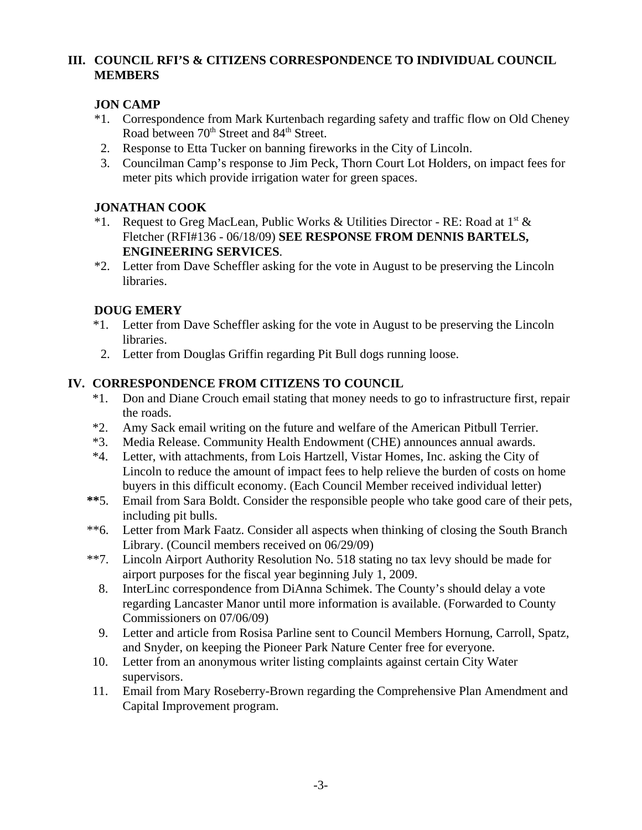### **III. COUNCIL RFI'S & CITIZENS CORRESPONDENCE TO INDIVIDUAL COUNCIL MEMBERS**

### **JON CAMP**

- \*1. Correspondence from Mark Kurtenbach regarding safety and traffic flow on Old Cheney Road between 70<sup>th</sup> Street and 84<sup>th</sup> Street.
- 2. Response to Etta Tucker on banning fireworks in the City of Lincoln.
- 3. Councilman Camp's response to Jim Peck, Thorn Court Lot Holders, on impact fees for meter pits which provide irrigation water for green spaces.

### **JONATHAN COOK**

- \*1. Request to Greg MacLean, Public Works & Utilities Director RE: Road at  $1^{st}$  & Fletcher (RFI#136 - 06/18/09) **SEE RESPONSE FROM DENNIS BARTELS, ENGINEERING SERVICES**.
- \*2. Letter from Dave Scheffler asking for the vote in August to be preserving the Lincoln libraries.

# **DOUG EMERY**

- \*1. Letter from Dave Scheffler asking for the vote in August to be preserving the Lincoln libraries.
- 2. Letter from Douglas Griffin regarding Pit Bull dogs running loose.

# **IV. CORRESPONDENCE FROM CITIZENS TO COUNCIL**

- \*1. Don and Diane Crouch email stating that money needs to go to infrastructure first, repair the roads.
- \*2. Amy Sack email writing on the future and welfare of the American Pitbull Terrier.
- \*3. Media Release. Community Health Endowment (CHE) announces annual awards.
- \*4. Letter, with attachments, from Lois Hartzell, Vistar Homes, Inc. asking the City of Lincoln to reduce the amount of impact fees to help relieve the burden of costs on home buyers in this difficult economy. (Each Council Member received individual letter)
- **\*\***5. Email from Sara Boldt. Consider the responsible people who take good care of their pets, including pit bulls.
- \*\*6. Letter from Mark Faatz. Consider all aspects when thinking of closing the South Branch Library. (Council members received on 06/29/09)
- \*\*7. Lincoln Airport Authority Resolution No. 518 stating no tax levy should be made for airport purposes for the fiscal year beginning July 1, 2009.
	- 8. InterLinc correspondence from DiAnna Schimek. The County's should delay a vote regarding Lancaster Manor until more information is available. (Forwarded to County Commissioners on 07/06/09)
	- 9. Letter and article from Rosisa Parline sent to Council Members Hornung, Carroll, Spatz, and Snyder, on keeping the Pioneer Park Nature Center free for everyone.
- 10. Letter from an anonymous writer listing complaints against certain City Water supervisors.
- 11. Email from Mary Roseberry-Brown regarding the Comprehensive Plan Amendment and Capital Improvement program.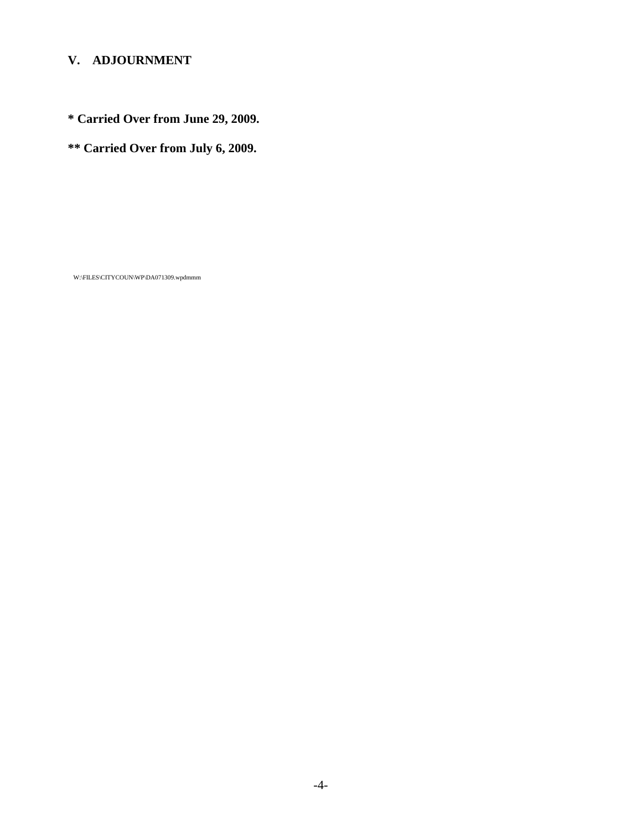# **V. ADJOURNMENT**

**\* Carried Over from June 29, 2009.**

**\*\* Carried Over from July 6, 2009.** 

W:\FILES\CITYCOUN\WP\DA071309.wpdmmm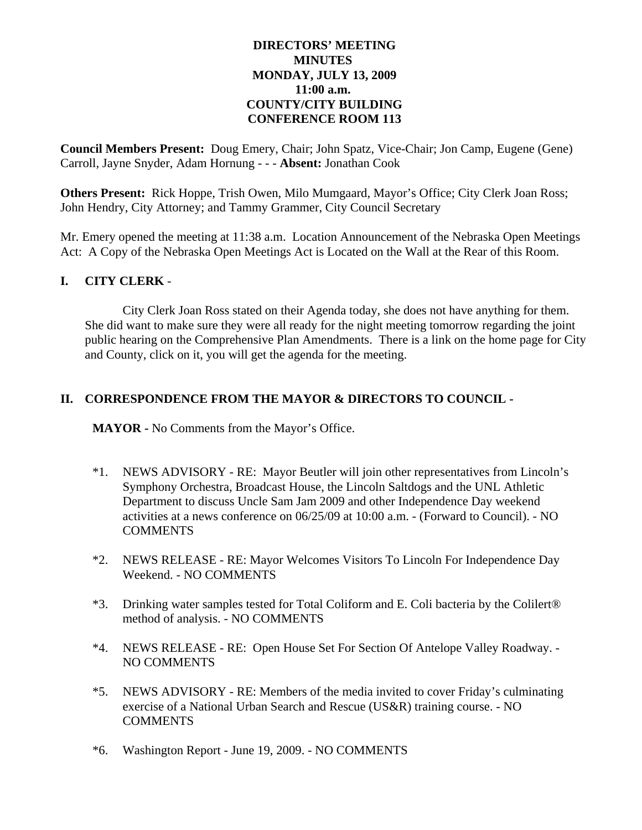### **DIRECTORS' MEETING MINUTES MONDAY, JULY 13, 2009 11:00 a.m. COUNTY/CITY BUILDING CONFERENCE ROOM 113**

**Council Members Present:** Doug Emery, Chair; John Spatz, Vice-Chair; Jon Camp, Eugene (Gene) Carroll, Jayne Snyder, Adam Hornung - - - **Absent:** Jonathan Cook

**Others Present:** Rick Hoppe, Trish Owen, Milo Mumgaard, Mayor's Office; City Clerk Joan Ross; John Hendry, City Attorney; and Tammy Grammer, City Council Secretary

Mr. Emery opened the meeting at 11:38 a.m. Location Announcement of the Nebraska Open Meetings Act: A Copy of the Nebraska Open Meetings Act is Located on the Wall at the Rear of this Room.

### **I. CITY CLERK** -

City Clerk Joan Ross stated on their Agenda today, she does not have anything for them. She did want to make sure they were all ready for the night meeting tomorrow regarding the joint public hearing on the Comprehensive Plan Amendments. There is a link on the home page for City and County, click on it, you will get the agenda for the meeting.

### **II. CORRESPONDENCE FROM THE MAYOR & DIRECTORS TO COUNCIL -**

**MAYOR -** No Comments from the Mayor's Office.

- \*1. NEWS ADVISORY RE: Mayor Beutler will join other representatives from Lincoln's Symphony Orchestra, Broadcast House, the Lincoln Saltdogs and the UNL Athletic Department to discuss Uncle Sam Jam 2009 and other Independence Day weekend activities at a news conference on 06/25/09 at 10:00 a.m. - (Forward to Council). - NO **COMMENTS**
- \*2. NEWS RELEASE RE: Mayor Welcomes Visitors To Lincoln For Independence Day Weekend. - NO COMMENTS
- \*3. Drinking water samples tested for Total Coliform and E. Coli bacteria by the Colilert® method of analysis. - NO COMMENTS
- \*4. NEWS RELEASE RE: Open House Set For Section Of Antelope Valley Roadway. NO COMMENTS
- \*5. NEWS ADVISORY RE: Members of the media invited to cover Friday's culminating exercise of a National Urban Search and Rescue (US&R) training course. - NO **COMMENTS**
- \*6. Washington Report June 19, 2009. NO COMMENTS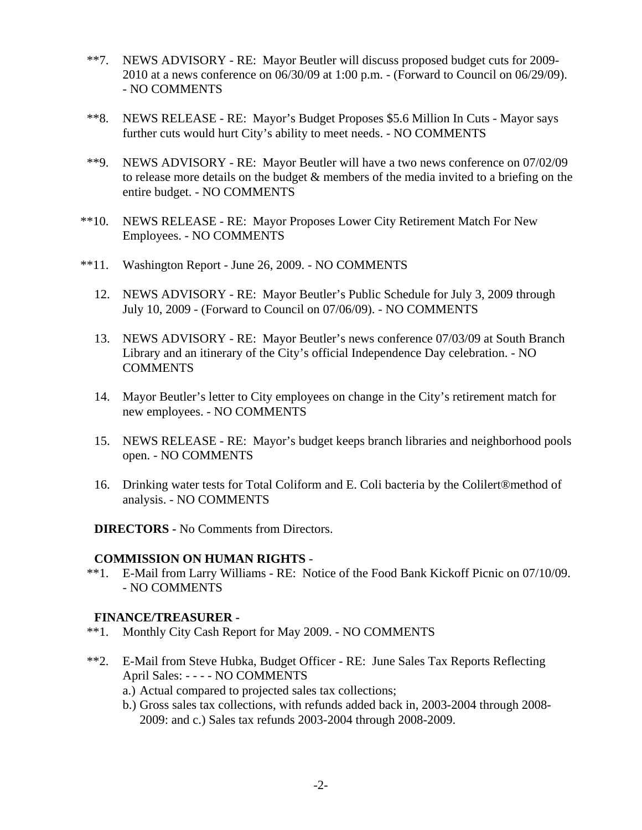- \*\*7. NEWS ADVISORY RE: Mayor Beutler will discuss proposed budget cuts for 2009- 2010 at a news conference on 06/30/09 at 1:00 p.m. - (Forward to Council on 06/29/09). - NO COMMENTS
- \*\*8. NEWS RELEASE RE: Mayor's Budget Proposes \$5.6 Million In Cuts Mayor says further cuts would hurt City's ability to meet needs. - NO COMMENTS
- \*\*9. NEWS ADVISORY RE: Mayor Beutler will have a two news conference on 07/02/09 to release more details on the budget & members of the media invited to a briefing on the entire budget. - NO COMMENTS
- \*\*10. NEWS RELEASE RE: Mayor Proposes Lower City Retirement Match For New Employees. - NO COMMENTS
- \*\*11. Washington Report June 26, 2009. NO COMMENTS
	- 12. NEWS ADVISORY RE: Mayor Beutler's Public Schedule for July 3, 2009 through July 10, 2009 - (Forward to Council on 07/06/09). - NO COMMENTS
	- 13. NEWS ADVISORY RE: Mayor Beutler's news conference 07/03/09 at South Branch Library and an itinerary of the City's official Independence Day celebration. - NO **COMMENTS**
	- 14. Mayor Beutler's letter to City employees on change in the City's retirement match for new employees. - NO COMMENTS
	- 15. NEWS RELEASE RE: Mayor's budget keeps branch libraries and neighborhood pools open. - NO COMMENTS
	- 16. Drinking water tests for Total Coliform and E. Coli bacteria by the Colilert®method of analysis. - NO COMMENTS

**DIRECTORS -** No Comments from Directors.

#### **COMMISSION ON HUMAN RIGHTS** -

 \*\*1. E-Mail from Larry Williams - RE: Notice of the Food Bank Kickoff Picnic on 07/10/09. - NO COMMENTS

#### **FINANCE/TREASURER -**

- \*\*1. Monthly City Cash Report for May 2009. NO COMMENTS
- \*\*2. E-Mail from Steve Hubka, Budget Officer RE: June Sales Tax Reports Reflecting April Sales: - - - - NO COMMENTS
	- a.) Actual compared to projected sales tax collections;
	- b.) Gross sales tax collections, with refunds added back in, 2003-2004 through 2008- 2009: and c.) Sales tax refunds 2003-2004 through 2008-2009.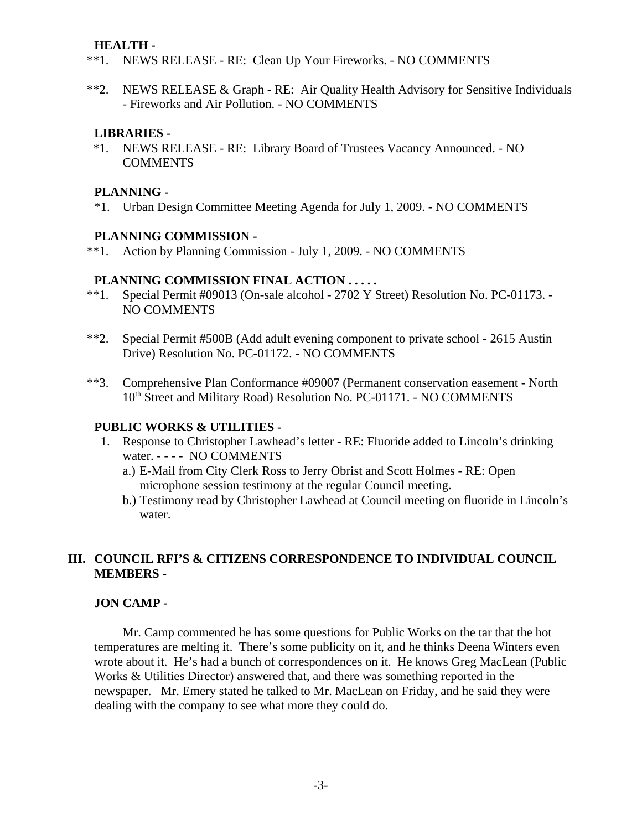#### **HEALTH -**

- \*\*1. NEWS RELEASE RE: Clean Up Your Fireworks. NO COMMENTS
- \*\*2. NEWS RELEASE & Graph RE: Air Quality Health Advisory for Sensitive Individuals - Fireworks and Air Pollution. - NO COMMENTS

#### **LIBRARIES -**

 \*1. NEWS RELEASE - RE: Library Board of Trustees Vacancy Announced. - NO **COMMENTS** 

#### **PLANNING -**

\*1. Urban Design Committee Meeting Agenda for July 1, 2009. - NO COMMENTS

#### **PLANNING COMMISSION -**

\*\*1. Action by Planning Commission - July 1, 2009. - NO COMMENTS

#### **PLANNING COMMISSION FINAL ACTION . . . . .**

- \*\*1. Special Permit #09013 (On-sale alcohol 2702 Y Street) Resolution No. PC-01173. NO COMMENTS
- \*\*2. Special Permit #500B (Add adult evening component to private school 2615 Austin Drive) Resolution No. PC-01172. - NO COMMENTS
- \*\*3. Comprehensive Plan Conformance #09007 (Permanent conservation easement North 10<sup>th</sup> Street and Military Road) Resolution No. PC-01171. - NO COMMENTS

#### **PUBLIC WORKS & UTILITIES -**

- 1. Response to Christopher Lawhead's letter RE: Fluoride added to Lincoln's drinking water. - - - - NO COMMENTS
	- a.) E-Mail from City Clerk Ross to Jerry Obrist and Scott Holmes RE: Open microphone session testimony at the regular Council meeting.
	- b.) Testimony read by Christopher Lawhead at Council meeting on fluoride in Lincoln's water.

### **III. COUNCIL RFI'S & CITIZENS CORRESPONDENCE TO INDIVIDUAL COUNCIL MEMBERS -**

#### **JON CAMP -**

Mr. Camp commented he has some questions for Public Works on the tar that the hot temperatures are melting it. There's some publicity on it, and he thinks Deena Winters even wrote about it. He's had a bunch of correspondences on it. He knows Greg MacLean (Public Works & Utilities Director) answered that, and there was something reported in the newspaper. Mr. Emery stated he talked to Mr. MacLean on Friday, and he said they were dealing with the company to see what more they could do.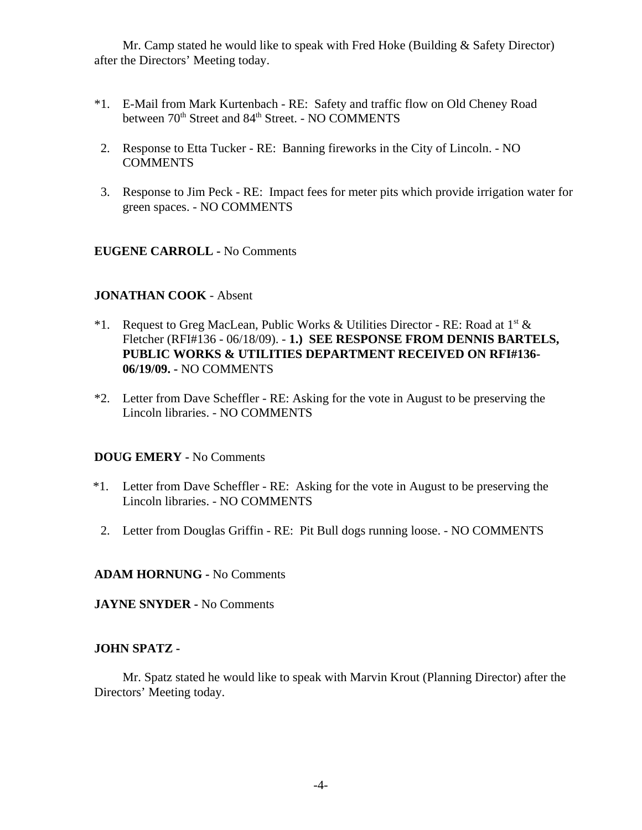Mr. Camp stated he would like to speak with Fred Hoke (Building & Safety Director) after the Directors' Meeting today.

- \*1. E-Mail from Mark Kurtenbach RE: Safety and traffic flow on Old Cheney Road between  $70<sup>th</sup>$  Street and  $84<sup>th</sup>$  Street. - NO COMMENTS
- 2. Response to Etta Tucker RE: Banning fireworks in the City of Lincoln. NO COMMENTS
- 3. Response to Jim Peck RE: Impact fees for meter pits which provide irrigation water for green spaces. - NO COMMENTS

### **EUGENE CARROLL -** No Comments

#### **JONATHAN COOK** - Absent

- \*1. Request to Greg MacLean, Public Works & Utilities Director RE: Road at  $1^{st}$  & Fletcher (RFI#136 - 06/18/09). - **1.) SEE RESPONSE FROM DENNIS BARTELS, PUBLIC WORKS & UTILITIES DEPARTMENT RECEIVED ON RFI#136- 06/19/09. -** NO COMMENTS
- \*2. Letter from Dave Scheffler RE: Asking for the vote in August to be preserving the Lincoln libraries. - NO COMMENTS

#### **DOUG EMERY -** No Comments

- \*1. Letter from Dave Scheffler RE: Asking for the vote in August to be preserving the Lincoln libraries. - NO COMMENTS
- 2. Letter from Douglas Griffin RE: Pit Bull dogs running loose. NO COMMENTS

#### **ADAM HORNUNG -** No Comments

**JAYNE SNYDER -** No Comments

#### **JOHN SPATZ -**

Mr. Spatz stated he would like to speak with Marvin Krout (Planning Director) after the Directors' Meeting today.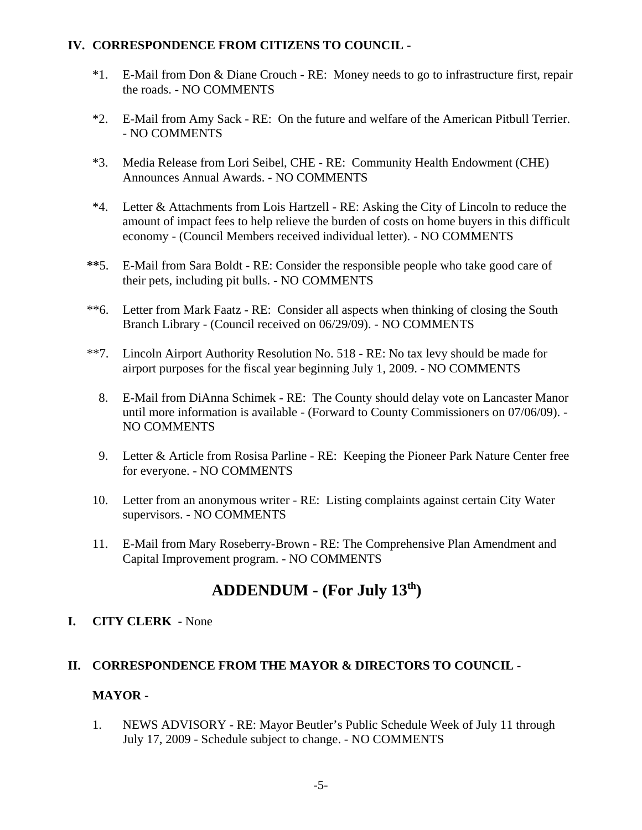### **IV. CORRESPONDENCE FROM CITIZENS TO COUNCIL -**

- \*1. E-Mail from Don & Diane Crouch RE: Money needs to go to infrastructure first, repair the roads. - NO COMMENTS
- \*2. E-Mail from Amy Sack RE: On the future and welfare of the American Pitbull Terrier. - NO COMMENTS
- \*3. Media Release from Lori Seibel, CHE RE: Community Health Endowment (CHE) Announces Annual Awards. **-** NO COMMENTS
- \*4. Letter & Attachments from Lois Hartzell RE: Asking the City of Lincoln to reduce the amount of impact fees to help relieve the burden of costs on home buyers in this difficult economy - (Council Members received individual letter). - NO COMMENTS
- **\*\***5. E-Mail from Sara Boldt RE: Consider the responsible people who take good care of their pets, including pit bulls. - NO COMMENTS
- \*\*6. Letter from Mark Faatz RE: Consider all aspects when thinking of closing the South Branch Library - (Council received on 06/29/09). - NO COMMENTS
- \*\*7. Lincoln Airport Authority Resolution No. 518 RE: No tax levy should be made for airport purposes for the fiscal year beginning July 1, 2009. - NO COMMENTS
	- 8. E-Mail from DiAnna Schimek RE: The County should delay vote on Lancaster Manor until more information is available - (Forward to County Commissioners on 07/06/09). - NO COMMENTS
	- 9. Letter & Article from Rosisa Parline RE: Keeping the Pioneer Park Nature Center free for everyone. - NO COMMENTS
- 10. Letter from an anonymous writer RE: Listing complaints against certain City Water supervisors. - NO COMMENTS
- 11. E-Mail from Mary Roseberry-Brown RE: The Comprehensive Plan Amendment and Capital Improvement program. - NO COMMENTS

# **ADDENDUM - (For July 13th)**

### **I. CITY CLERK -** None

### **II. CORRESPONDENCE FROM THE MAYOR & DIRECTORS TO COUNCIL** -

### **MAYOR -**

1. NEWS ADVISORY - RE: Mayor Beutler's Public Schedule Week of July 11 through July 17, 2009 - Schedule subject to change. - NO COMMENTS